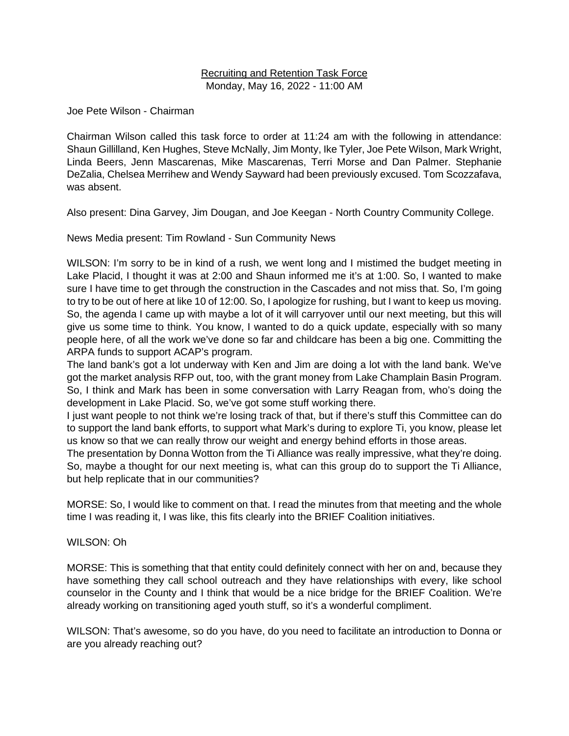## Recruiting and Retention Task Force Monday, May 16, 2022 - 11:00 AM

Joe Pete Wilson - Chairman

Chairman Wilson called this task force to order at 11:24 am with the following in attendance: Shaun Gillilland, Ken Hughes, Steve McNally, Jim Monty, Ike Tyler, Joe Pete Wilson, Mark Wright, Linda Beers, Jenn Mascarenas, Mike Mascarenas, Terri Morse and Dan Palmer. Stephanie DeZalia, Chelsea Merrihew and Wendy Sayward had been previously excused. Tom Scozzafava, was absent.

Also present: Dina Garvey, Jim Dougan, and Joe Keegan - North Country Community College.

News Media present: Tim Rowland - Sun Community News

WILSON: I'm sorry to be in kind of a rush, we went long and I mistimed the budget meeting in Lake Placid, I thought it was at 2:00 and Shaun informed me it's at 1:00. So, I wanted to make sure I have time to get through the construction in the Cascades and not miss that. So, I'm going to try to be out of here at like 10 of 12:00. So, I apologize for rushing, but I want to keep us moving. So, the agenda I came up with maybe a lot of it will carryover until our next meeting, but this will give us some time to think. You know, I wanted to do a quick update, especially with so many people here, of all the work we've done so far and childcare has been a big one. Committing the ARPA funds to support ACAP's program.

The land bank's got a lot underway with Ken and Jim are doing a lot with the land bank. We've got the market analysis RFP out, too, with the grant money from Lake Champlain Basin Program. So, I think and Mark has been in some conversation with Larry Reagan from, who's doing the development in Lake Placid. So, we've got some stuff working there.

I just want people to not think we're losing track of that, but if there's stuff this Committee can do to support the land bank efforts, to support what Mark's during to explore Ti, you know, please let us know so that we can really throw our weight and energy behind efforts in those areas.

The presentation by Donna Wotton from the Ti Alliance was really impressive, what they're doing. So, maybe a thought for our next meeting is, what can this group do to support the Ti Alliance, but help replicate that in our communities?

MORSE: So, I would like to comment on that. I read the minutes from that meeting and the whole time I was reading it, I was like, this fits clearly into the BRIEF Coalition initiatives.

## WILSON: Oh

MORSE: This is something that that entity could definitely connect with her on and, because they have something they call school outreach and they have relationships with every, like school counselor in the County and I think that would be a nice bridge for the BRIEF Coalition. We're already working on transitioning aged youth stuff, so it's a wonderful compliment.

WILSON: That's awesome, so do you have, do you need to facilitate an introduction to Donna or are you already reaching out?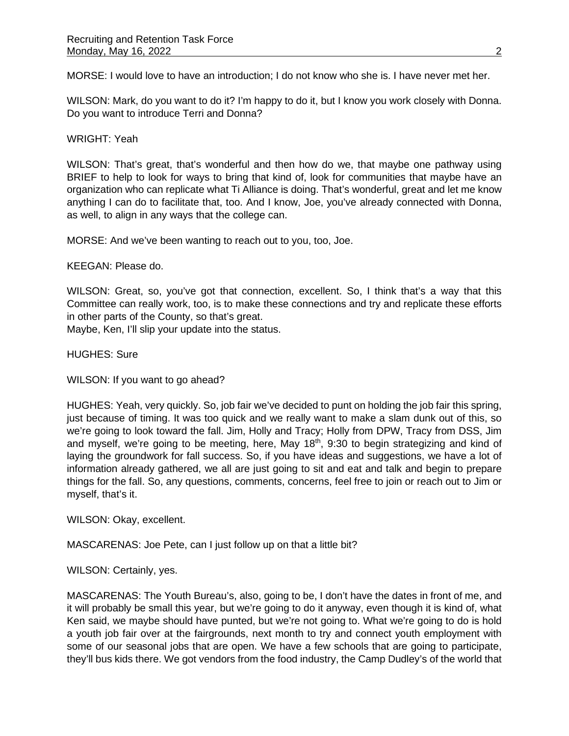MORSE: I would love to have an introduction; I do not know who she is. I have never met her.

WILSON: Mark, do you want to do it? I'm happy to do it, but I know you work closely with Donna. Do you want to introduce Terri and Donna?

WRIGHT: Yeah

WILSON: That's great, that's wonderful and then how do we, that maybe one pathway using BRIEF to help to look for ways to bring that kind of, look for communities that maybe have an organization who can replicate what Ti Alliance is doing. That's wonderful, great and let me know anything I can do to facilitate that, too. And I know, Joe, you've already connected with Donna, as well, to align in any ways that the college can.

MORSE: And we've been wanting to reach out to you, too, Joe.

KEEGAN: Please do.

WILSON: Great, so, you've got that connection, excellent. So, I think that's a way that this Committee can really work, too, is to make these connections and try and replicate these efforts in other parts of the County, so that's great.

Maybe, Ken, I'll slip your update into the status.

HUGHES: Sure

WILSON: If you want to go ahead?

HUGHES: Yeah, very quickly. So, job fair we've decided to punt on holding the job fair this spring, just because of timing. It was too quick and we really want to make a slam dunk out of this, so we're going to look toward the fall. Jim, Holly and Tracy; Holly from DPW, Tracy from DSS, Jim and myself, we're going to be meeting, here, May  $18<sup>th</sup>$ , 9:30 to begin strategizing and kind of laying the groundwork for fall success. So, if you have ideas and suggestions, we have a lot of information already gathered, we all are just going to sit and eat and talk and begin to prepare things for the fall. So, any questions, comments, concerns, feel free to join or reach out to Jim or myself, that's it.

WILSON: Okay, excellent.

MASCARENAS: Joe Pete, can I just follow up on that a little bit?

WILSON: Certainly, yes.

MASCARENAS: The Youth Bureau's, also, going to be, I don't have the dates in front of me, and it will probably be small this year, but we're going to do it anyway, even though it is kind of, what Ken said, we maybe should have punted, but we're not going to. What we're going to do is hold a youth job fair over at the fairgrounds, next month to try and connect youth employment with some of our seasonal jobs that are open. We have a few schools that are going to participate, they'll bus kids there. We got vendors from the food industry, the Camp Dudley's of the world that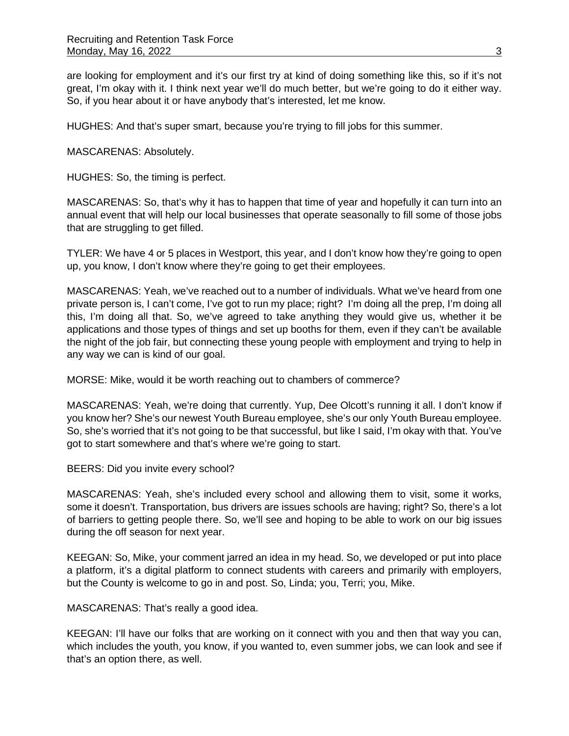are looking for employment and it's our first try at kind of doing something like this, so if it's not great, I'm okay with it. I think next year we'll do much better, but we're going to do it either way. So, if you hear about it or have anybody that's interested, let me know.

HUGHES: And that's super smart, because you're trying to fill jobs for this summer.

MASCARENAS: Absolutely.

HUGHES: So, the timing is perfect.

MASCARENAS: So, that's why it has to happen that time of year and hopefully it can turn into an annual event that will help our local businesses that operate seasonally to fill some of those jobs that are struggling to get filled.

TYLER: We have 4 or 5 places in Westport, this year, and I don't know how they're going to open up, you know, I don't know where they're going to get their employees.

MASCARENAS: Yeah, we've reached out to a number of individuals. What we've heard from one private person is, I can't come, I've got to run my place; right? I'm doing all the prep, I'm doing all this, I'm doing all that. So, we've agreed to take anything they would give us, whether it be applications and those types of things and set up booths for them, even if they can't be available the night of the job fair, but connecting these young people with employment and trying to help in any way we can is kind of our goal.

MORSE: Mike, would it be worth reaching out to chambers of commerce?

MASCARENAS: Yeah, we're doing that currently. Yup, Dee Olcott's running it all. I don't know if you know her? She's our newest Youth Bureau employee, she's our only Youth Bureau employee. So, she's worried that it's not going to be that successful, but like I said, I'm okay with that. You've got to start somewhere and that's where we're going to start.

BEERS: Did you invite every school?

MASCARENAS: Yeah, she's included every school and allowing them to visit, some it works, some it doesn't. Transportation, bus drivers are issues schools are having; right? So, there's a lot of barriers to getting people there. So, we'll see and hoping to be able to work on our big issues during the off season for next year.

KEEGAN: So, Mike, your comment jarred an idea in my head. So, we developed or put into place a platform, it's a digital platform to connect students with careers and primarily with employers, but the County is welcome to go in and post. So, Linda; you, Terri; you, Mike.

MASCARENAS: That's really a good idea.

KEEGAN: I'll have our folks that are working on it connect with you and then that way you can, which includes the youth, you know, if you wanted to, even summer jobs, we can look and see if that's an option there, as well.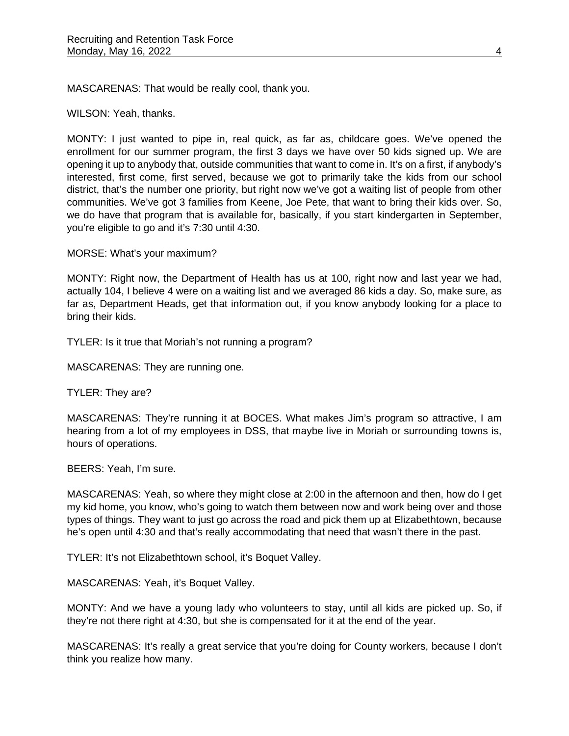MASCARENAS: That would be really cool, thank you.

WILSON: Yeah, thanks.

MONTY: I just wanted to pipe in, real quick, as far as, childcare goes. We've opened the enrollment for our summer program, the first 3 days we have over 50 kids signed up. We are opening it up to anybody that, outside communities that want to come in. It's on a first, if anybody's interested, first come, first served, because we got to primarily take the kids from our school district, that's the number one priority, but right now we've got a waiting list of people from other communities. We've got 3 families from Keene, Joe Pete, that want to bring their kids over. So, we do have that program that is available for, basically, if you start kindergarten in September, you're eligible to go and it's 7:30 until 4:30.

MORSE: What's your maximum?

MONTY: Right now, the Department of Health has us at 100, right now and last year we had, actually 104, I believe 4 were on a waiting list and we averaged 86 kids a day. So, make sure, as far as, Department Heads, get that information out, if you know anybody looking for a place to bring their kids.

TYLER: Is it true that Moriah's not running a program?

MASCARENAS: They are running one.

TYLER: They are?

MASCARENAS: They're running it at BOCES. What makes Jim's program so attractive, I am hearing from a lot of my employees in DSS, that maybe live in Moriah or surrounding towns is, hours of operations.

BEERS: Yeah, I'm sure.

MASCARENAS: Yeah, so where they might close at 2:00 in the afternoon and then, how do I get my kid home, you know, who's going to watch them between now and work being over and those types of things. They want to just go across the road and pick them up at Elizabethtown, because he's open until 4:30 and that's really accommodating that need that wasn't there in the past.

TYLER: It's not Elizabethtown school, it's Boquet Valley.

MASCARENAS: Yeah, it's Boquet Valley.

MONTY: And we have a young lady who volunteers to stay, until all kids are picked up. So, if they're not there right at 4:30, but she is compensated for it at the end of the year.

MASCARENAS: It's really a great service that you're doing for County workers, because I don't think you realize how many.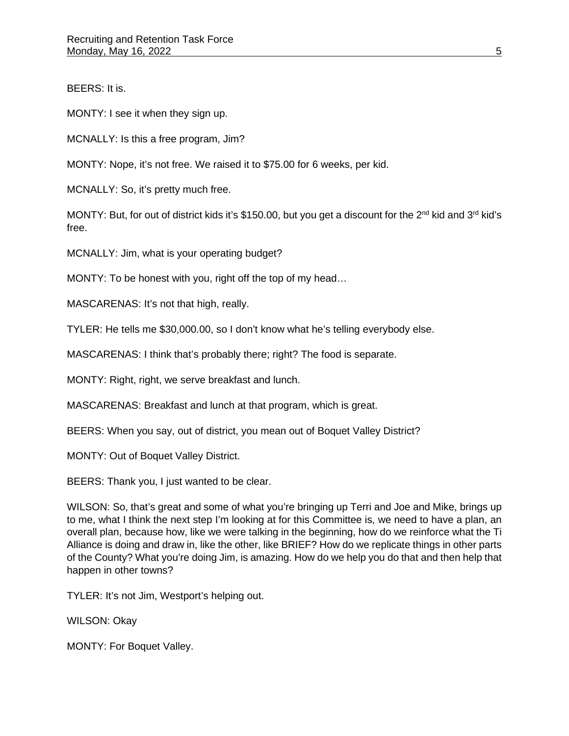BEERS: It is.

MONTY: I see it when they sign up.

MCNALLY: Is this a free program, Jim?

MONTY: Nope, it's not free. We raised it to \$75.00 for 6 weeks, per kid.

MCNALLY: So, it's pretty much free.

MONTY: But, for out of district kids it's \$150.00, but you get a discount for the 2<sup>nd</sup> kid and 3<sup>rd</sup> kid's free.

MCNALLY: Jim, what is your operating budget?

MONTY: To be honest with you, right off the top of my head…

MASCARENAS: It's not that high, really.

TYLER: He tells me \$30,000.00, so I don't know what he's telling everybody else.

MASCARENAS: I think that's probably there; right? The food is separate.

MONTY: Right, right, we serve breakfast and lunch.

MASCARENAS: Breakfast and lunch at that program, which is great.

BEERS: When you say, out of district, you mean out of Boquet Valley District?

MONTY: Out of Boquet Valley District.

BEERS: Thank you, I just wanted to be clear.

WILSON: So, that's great and some of what you're bringing up Terri and Joe and Mike, brings up to me, what I think the next step I'm looking at for this Committee is, we need to have a plan, an overall plan, because how, like we were talking in the beginning, how do we reinforce what the Ti Alliance is doing and draw in, like the other, like BRIEF? How do we replicate things in other parts of the County? What you're doing Jim, is amazing. How do we help you do that and then help that happen in other towns?

TYLER: It's not Jim, Westport's helping out.

WILSON: Okay

MONTY: For Boquet Valley.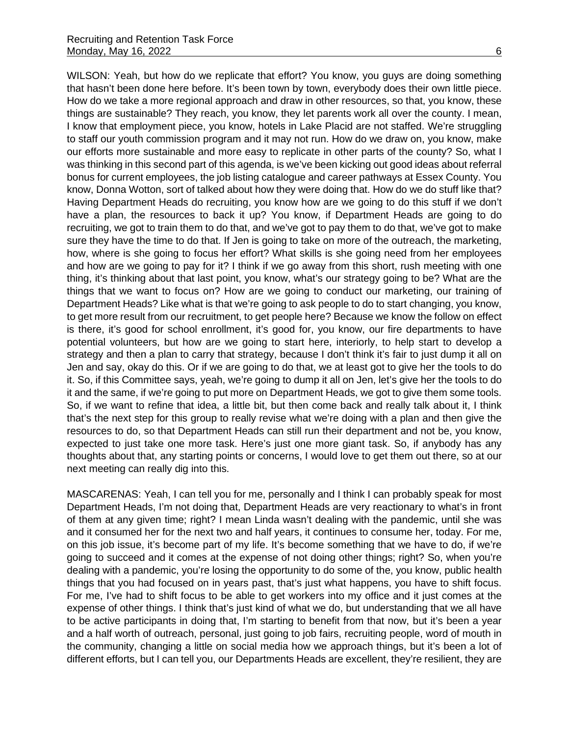WILSON: Yeah, but how do we replicate that effort? You know, you guys are doing something that hasn't been done here before. It's been town by town, everybody does their own little piece. How do we take a more regional approach and draw in other resources, so that, you know, these things are sustainable? They reach, you know, they let parents work all over the county. I mean, I know that employment piece, you know, hotels in Lake Placid are not staffed. We're struggling to staff our youth commission program and it may not run. How do we draw on, you know, make our efforts more sustainable and more easy to replicate in other parts of the county? So, what I was thinking in this second part of this agenda, is we've been kicking out good ideas about referral bonus for current employees, the job listing catalogue and career pathways at Essex County. You know, Donna Wotton, sort of talked about how they were doing that. How do we do stuff like that? Having Department Heads do recruiting, you know how are we going to do this stuff if we don't have a plan, the resources to back it up? You know, if Department Heads are going to do recruiting, we got to train them to do that, and we've got to pay them to do that, we've got to make sure they have the time to do that. If Jen is going to take on more of the outreach, the marketing, how, where is she going to focus her effort? What skills is she going need from her employees and how are we going to pay for it? I think if we go away from this short, rush meeting with one thing, it's thinking about that last point, you know, what's our strategy going to be? What are the things that we want to focus on? How are we going to conduct our marketing, our training of Department Heads? Like what is that we're going to ask people to do to start changing, you know, to get more result from our recruitment, to get people here? Because we know the follow on effect is there, it's good for school enrollment, it's good for, you know, our fire departments to have potential volunteers, but how are we going to start here, interiorly, to help start to develop a strategy and then a plan to carry that strategy, because I don't think it's fair to just dump it all on Jen and say, okay do this. Or if we are going to do that, we at least got to give her the tools to do it. So, if this Committee says, yeah, we're going to dump it all on Jen, let's give her the tools to do it and the same, if we're going to put more on Department Heads, we got to give them some tools. So, if we want to refine that idea, a little bit, but then come back and really talk about it, I think that's the next step for this group to really revise what we're doing with a plan and then give the resources to do, so that Department Heads can still run their department and not be, you know, expected to just take one more task. Here's just one more giant task. So, if anybody has any thoughts about that, any starting points or concerns, I would love to get them out there, so at our next meeting can really dig into this.

MASCARENAS: Yeah, I can tell you for me, personally and I think I can probably speak for most Department Heads, I'm not doing that, Department Heads are very reactionary to what's in front of them at any given time; right? I mean Linda wasn't dealing with the pandemic, until she was and it consumed her for the next two and half years, it continues to consume her, today. For me, on this job issue, it's become part of my life. It's become something that we have to do, if we're going to succeed and it comes at the expense of not doing other things; right? So, when you're dealing with a pandemic, you're losing the opportunity to do some of the, you know, public health things that you had focused on in years past, that's just what happens, you have to shift focus. For me, I've had to shift focus to be able to get workers into my office and it just comes at the expense of other things. I think that's just kind of what we do, but understanding that we all have to be active participants in doing that, I'm starting to benefit from that now, but it's been a year and a half worth of outreach, personal, just going to job fairs, recruiting people, word of mouth in the community, changing a little on social media how we approach things, but it's been a lot of different efforts, but I can tell you, our Departments Heads are excellent, they're resilient, they are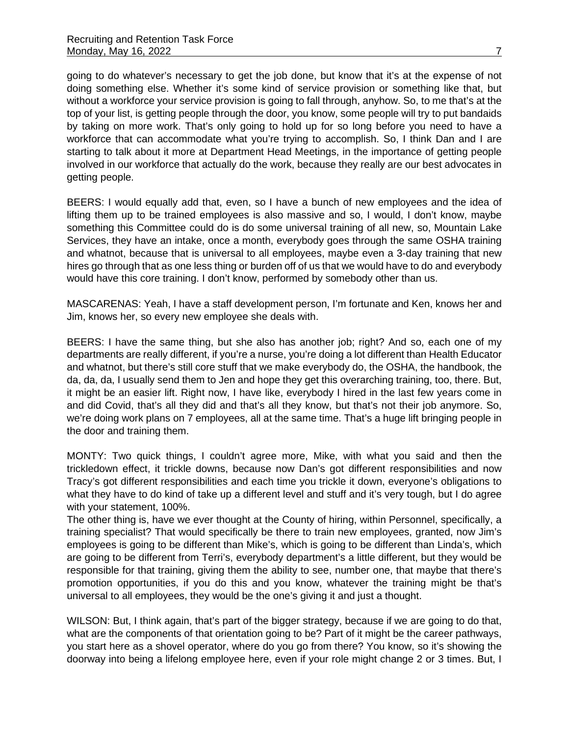going to do whatever's necessary to get the job done, but know that it's at the expense of not doing something else. Whether it's some kind of service provision or something like that, but without a workforce your service provision is going to fall through, anyhow. So, to me that's at the top of your list, is getting people through the door, you know, some people will try to put bandaids by taking on more work. That's only going to hold up for so long before you need to have a workforce that can accommodate what you're trying to accomplish. So, I think Dan and I are starting to talk about it more at Department Head Meetings, in the importance of getting people involved in our workforce that actually do the work, because they really are our best advocates in getting people.

BEERS: I would equally add that, even, so I have a bunch of new employees and the idea of lifting them up to be trained employees is also massive and so, I would, I don't know, maybe something this Committee could do is do some universal training of all new, so, Mountain Lake Services, they have an intake, once a month, everybody goes through the same OSHA training and whatnot, because that is universal to all employees, maybe even a 3-day training that new hires go through that as one less thing or burden off of us that we would have to do and everybody would have this core training. I don't know, performed by somebody other than us.

MASCARENAS: Yeah, I have a staff development person, I'm fortunate and Ken, knows her and Jim, knows her, so every new employee she deals with.

BEERS: I have the same thing, but she also has another job; right? And so, each one of my departments are really different, if you're a nurse, you're doing a lot different than Health Educator and whatnot, but there's still core stuff that we make everybody do, the OSHA, the handbook, the da, da, da, I usually send them to Jen and hope they get this overarching training, too, there. But, it might be an easier lift. Right now, I have like, everybody I hired in the last few years come in and did Covid, that's all they did and that's all they know, but that's not their job anymore. So, we're doing work plans on 7 employees, all at the same time. That's a huge lift bringing people in the door and training them.

MONTY: Two quick things, I couldn't agree more, Mike, with what you said and then the trickledown effect, it trickle downs, because now Dan's got different responsibilities and now Tracy's got different responsibilities and each time you trickle it down, everyone's obligations to what they have to do kind of take up a different level and stuff and it's very tough, but I do agree with your statement, 100%.

The other thing is, have we ever thought at the County of hiring, within Personnel, specifically, a training specialist? That would specifically be there to train new employees, granted, now Jim's employees is going to be different than Mike's, which is going to be different than Linda's, which are going to be different from Terri's, everybody department's a little different, but they would be responsible for that training, giving them the ability to see, number one, that maybe that there's promotion opportunities, if you do this and you know, whatever the training might be that's universal to all employees, they would be the one's giving it and just a thought.

WILSON: But, I think again, that's part of the bigger strategy, because if we are going to do that, what are the components of that orientation going to be? Part of it might be the career pathways, you start here as a shovel operator, where do you go from there? You know, so it's showing the doorway into being a lifelong employee here, even if your role might change 2 or 3 times. But, I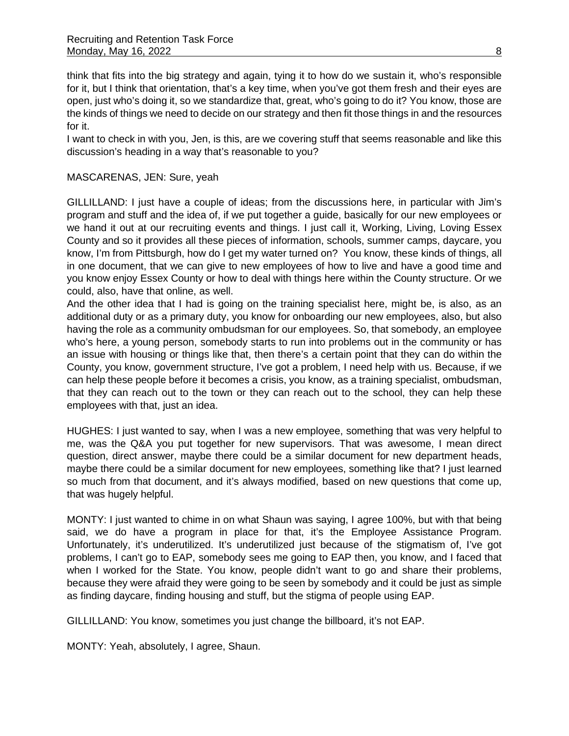think that fits into the big strategy and again, tying it to how do we sustain it, who's responsible for it, but I think that orientation, that's a key time, when you've got them fresh and their eyes are open, just who's doing it, so we standardize that, great, who's going to do it? You know, those are the kinds of things we need to decide on our strategy and then fit those things in and the resources for it.

I want to check in with you, Jen, is this, are we covering stuff that seems reasonable and like this discussion's heading in a way that's reasonable to you?

## MASCARENAS, JEN: Sure, yeah

GILLILLAND: I just have a couple of ideas; from the discussions here, in particular with Jim's program and stuff and the idea of, if we put together a guide, basically for our new employees or we hand it out at our recruiting events and things. I just call it, Working, Living, Loving Essex County and so it provides all these pieces of information, schools, summer camps, daycare, you know, I'm from Pittsburgh, how do I get my water turned on? You know, these kinds of things, all in one document, that we can give to new employees of how to live and have a good time and you know enjoy Essex County or how to deal with things here within the County structure. Or we could, also, have that online, as well.

And the other idea that I had is going on the training specialist here, might be, is also, as an additional duty or as a primary duty, you know for onboarding our new employees, also, but also having the role as a community ombudsman for our employees. So, that somebody, an employee who's here, a young person, somebody starts to run into problems out in the community or has an issue with housing or things like that, then there's a certain point that they can do within the County, you know, government structure, I've got a problem, I need help with us. Because, if we can help these people before it becomes a crisis, you know, as a training specialist, ombudsman, that they can reach out to the town or they can reach out to the school, they can help these employees with that, just an idea.

HUGHES: I just wanted to say, when I was a new employee, something that was very helpful to me, was the Q&A you put together for new supervisors. That was awesome, I mean direct question, direct answer, maybe there could be a similar document for new department heads, maybe there could be a similar document for new employees, something like that? I just learned so much from that document, and it's always modified, based on new questions that come up, that was hugely helpful.

MONTY: I just wanted to chime in on what Shaun was saying, I agree 100%, but with that being said, we do have a program in place for that, it's the Employee Assistance Program. Unfortunately, it's underutilized. It's underutilized just because of the stigmatism of, I've got problems, I can't go to EAP, somebody sees me going to EAP then, you know, and I faced that when I worked for the State. You know, people didn't want to go and share their problems, because they were afraid they were going to be seen by somebody and it could be just as simple as finding daycare, finding housing and stuff, but the stigma of people using EAP.

GILLILLAND: You know, sometimes you just change the billboard, it's not EAP.

MONTY: Yeah, absolutely, I agree, Shaun.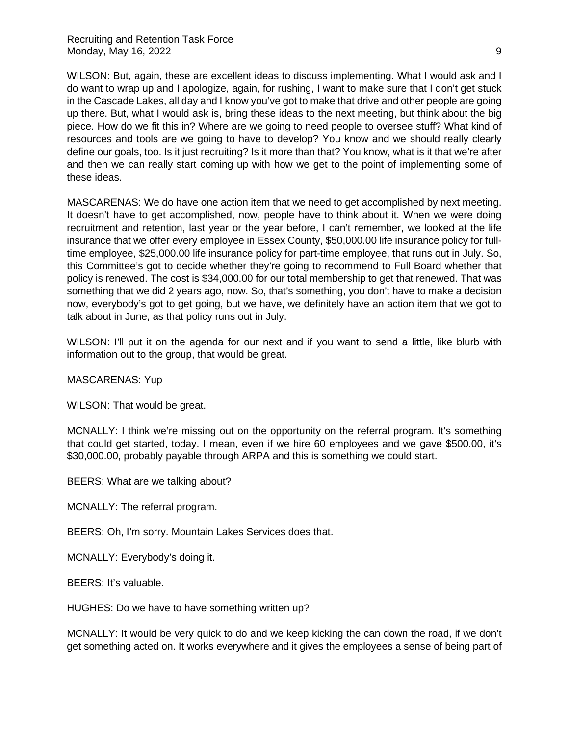WILSON: But, again, these are excellent ideas to discuss implementing. What I would ask and I do want to wrap up and I apologize, again, for rushing, I want to make sure that I don't get stuck in the Cascade Lakes, all day and I know you've got to make that drive and other people are going up there. But, what I would ask is, bring these ideas to the next meeting, but think about the big piece. How do we fit this in? Where are we going to need people to oversee stuff? What kind of resources and tools are we going to have to develop? You know and we should really clearly define our goals, too. Is it just recruiting? Is it more than that? You know, what is it that we're after and then we can really start coming up with how we get to the point of implementing some of these ideas.

MASCARENAS: We do have one action item that we need to get accomplished by next meeting. It doesn't have to get accomplished, now, people have to think about it. When we were doing recruitment and retention, last year or the year before, I can't remember, we looked at the life insurance that we offer every employee in Essex County, \$50,000.00 life insurance policy for fulltime employee, \$25,000.00 life insurance policy for part-time employee, that runs out in July. So, this Committee's got to decide whether they're going to recommend to Full Board whether that policy is renewed. The cost is \$34,000.00 for our total membership to get that renewed. That was something that we did 2 years ago, now. So, that's something, you don't have to make a decision now, everybody's got to get going, but we have, we definitely have an action item that we got to talk about in June, as that policy runs out in July.

WILSON: I'll put it on the agenda for our next and if you want to send a little, like blurb with information out to the group, that would be great.

MASCARENAS: Yup

WILSON: That would be great.

MCNALLY: I think we're missing out on the opportunity on the referral program. It's something that could get started, today. I mean, even if we hire 60 employees and we gave \$500.00, it's \$30,000.00, probably payable through ARPA and this is something we could start.

BEERS: What are we talking about?

MCNALLY: The referral program.

BEERS: Oh, I'm sorry. Mountain Lakes Services does that.

MCNALLY: Everybody's doing it.

BEERS: It's valuable.

HUGHES: Do we have to have something written up?

MCNALLY: It would be very quick to do and we keep kicking the can down the road, if we don't get something acted on. It works everywhere and it gives the employees a sense of being part of